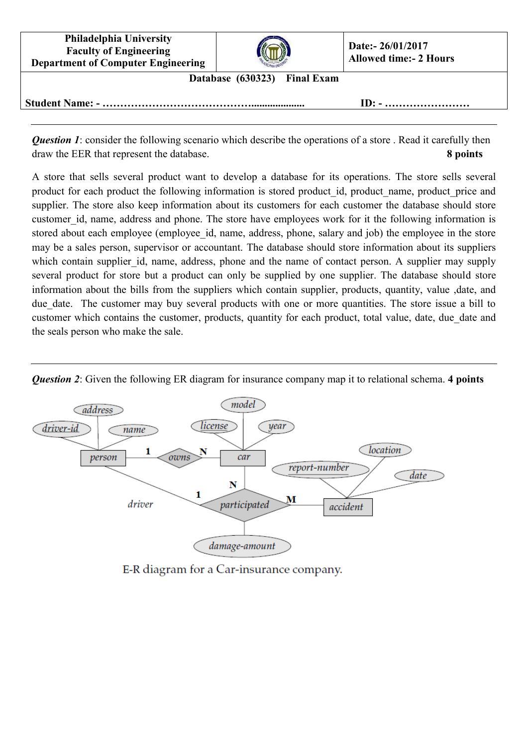**Philadelphia University Faculty of Engineering Department of Computer Engineering**



**Database (630323) Final Exam**

**Student Name: - …………………………………….................... ID: - ……………………**

*Question 1*: consider the following scenario which describe the operations of a store. Read it carefully then draw the EER that represent the database. **8 points**

A store that sells several product want to develop a database for its operations. The store sells several product for each product the following information is stored product id, product name, product price and supplier. The store also keep information about its customers for each customer the database should store customer id, name, address and phone. The store have employees work for it the following information is stored about each employee (employee id, name, address, phone, salary and job) the employee in the store may be a sales person, supervisor or accountant. The database should store information about its suppliers which contain supplier id, name, address, phone and the name of contact person. A supplier may supply several product for store but a product can only be supplied by one supplier. The database should store information about the bills from the suppliers which contain supplier, products, quantity, value ,date, and due date. The customer may buy several products with one or more quantities. The store issue a bill to customer which contains the customer, products, quantity for each product, total value, date, due date and the seals person who make the sale.



*Question 2*: Given the following ER diagram for insurance company map it to relational schema. **4 points**

E-R diagram for a Car-insurance company.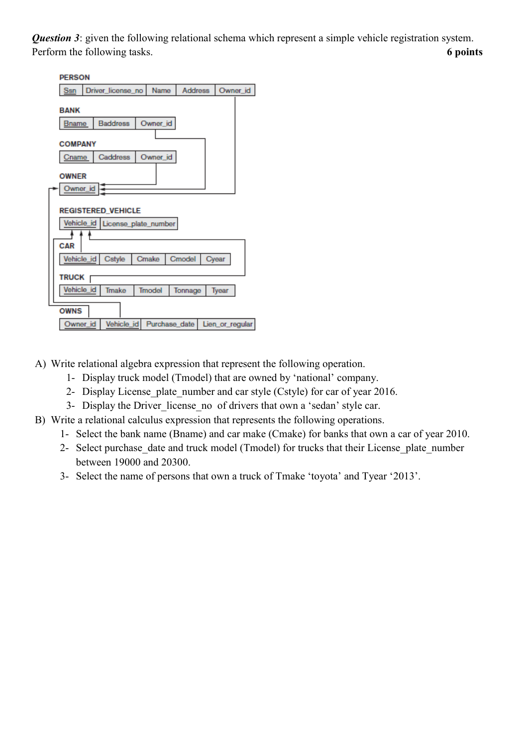*Question 3*: given the following relational schema which represent a simple vehicle registration system. Perform the following tasks. **6 points** 

| <b>PERSON</b>                      |                   |               |                |                 |
|------------------------------------|-------------------|---------------|----------------|-----------------|
| Ssn                                | Driver license no | Name          | <b>Address</b> | Owner_id        |
| <b>BANK</b>                        |                   |               |                |                 |
| <b>Bname</b>                       | <b>Baddress</b>   | Owner_id      |                |                 |
| <b>COMPANY</b>                     |                   |               |                |                 |
| Cname                              | Caddress          | Owner_id      |                |                 |
| <b>OWNER</b>                       |                   |               |                |                 |
| Owner_id                           |                   |               |                |                 |
| <b>REGISTERED VEHICLE</b>          |                   |               |                |                 |
| Vehicle id<br>License_plate_number |                   |               |                |                 |
|                                    |                   |               |                |                 |
| CAR                                |                   |               |                |                 |
| Vehicle_id                         | Cstyle            | Cmake         | Cmodel         | Cyear           |
| <b>TRUCK</b>                       |                   |               |                |                 |
| Vehicle id                         | Tmake             | <b>Tmodel</b> | Tonnage        | Tyear           |
|                                    |                   |               |                |                 |
| <b>OWNS</b>                        |                   |               |                |                 |
| Owner id                           | Vehicle_id        | Purchase date |                | Lien_or_regular |

- A) Write relational algebra expression that represent the following operation.
	- 1- Display truck model (Tmodel) that are owned by 'national' company.
	- 2- Display License plate number and car style (Cstyle) for car of year 2016.
	- 3- Display the Driver license no of drivers that own a 'sedan' style car.
- B) Write a relational calculus expression that represents the following operations.
	- 1- Select the bank name (Bname) and car make (Cmake) for banks that own a car of year 2010.
	- 2- Select purchase date and truck model (Tmodel) for trucks that their License plate number between 19000 and 20300.
	- 3- Select the name of persons that own a truck of Tmake 'toyota' and Tyear '2013'.